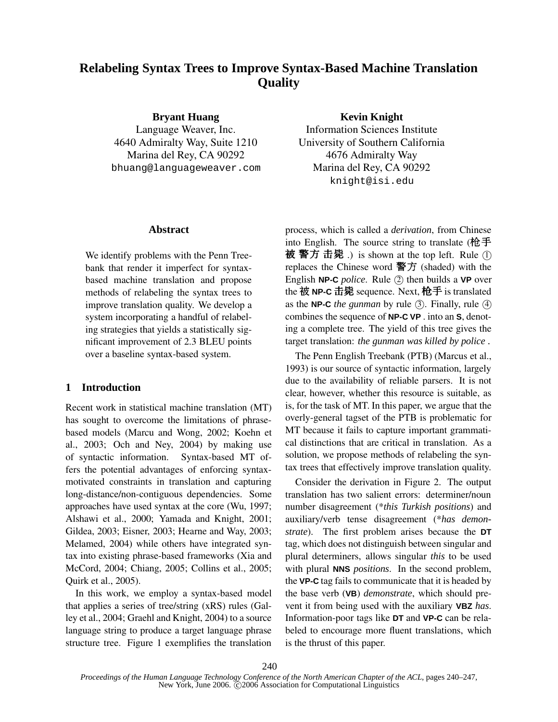# **Relabeling Syntax Trees to Improve Syntax-Based Machine Translation Quality**

**Bryant Huang**

Language Weaver, Inc. 4640 Admiralty Way, Suite 1210 Marina del Rey, CA 90292 bhuang@languageweaver.com

#### **Abstract**

We identify problems with the Penn Treebank that render it imperfect for syntaxbased machine translation and propose methods of relabeling the syntax trees to improve translation quality. We develop a system incorporating a handful of relabeling strategies that yields a statistically significant improvement of 2.3 BLEU points over a baseline syntax-based system.

# **1 Introduction**

Recent work in statistical machine translation (MT) has sought to overcome the limitations of phrasebased models (Marcu and Wong, 2002; Koehn et al., 2003; Och and Ney, 2004) by making use of syntactic information. Syntax-based MT offers the potential advantages of enforcing syntaxmotivated constraints in translation and capturing long-distance/non-contiguous dependencies. Some approaches have used syntax at the core (Wu, 1997; Alshawi et al., 2000; Yamada and Knight, 2001; Gildea, 2003; Eisner, 2003; Hearne and Way, 2003; Melamed, 2004) while others have integrated syntax into existing phrase-based frameworks (Xia and McCord, 2004; Chiang, 2005; Collins et al., 2005; Quirk et al., 2005).

In this work, we employ a syntax-based model that applies a series of tree/string (xRS) rules (Galley et al., 2004; Graehl and Knight, 2004) to a source language string to produce a target language phrase structure tree. Figure 1 exemplifies the translation

## **Kevin Knight**

Information Sciences Institute University of Southern California 4676 Admiralty Way Marina del Rey, CA 90292 knight@isi.edu

process, which is called a *derivation*, from Chinese into English. The source string to translate (枪手 被 警方 击毙 .) is shown at the top left. Rule ① replaces the Chinese word 警方 (shaded) with the English **NP-C** *police*. Rule (2) then builds a **VP** over the 被 **NP-C** 击毙 sequence. Next, 枪手 is translated as the **NP-C** *the gunman* by rule  $(3)$ . Finally, rule  $(4)$ combines the sequence of **NP-C VP** . into an **S**, denoting a complete tree. The yield of this tree gives the target translation: *the gunman was killed by police .*

The Penn English Treebank (PTB) (Marcus et al., 1993) is our source of syntactic information, largely due to the availability of reliable parsers. It is not clear, however, whether this resource is suitable, as is, for the task of MT. In this paper, we argue that the overly-general tagset of the PTB is problematic for MT because it fails to capture important grammatical distinctions that are critical in translation. As a solution, we propose methods of relabeling the syntax trees that effectively improve translation quality.

Consider the derivation in Figure 2. The output translation has two salient errors: determiner/noun number disagreement (\**this Turkish positions*) and auxiliary/verb tense disagreement (\**has demonstrate*). The first problem arises because the **DT** tag, which does not distinguish between singular and plural determiners, allows singular *this* to be used with plural **NNS** *positions*. In the second problem, the **VP-C** tag fails to communicate that it is headed by the base verb (**VB**) *demonstrate*, which should prevent it from being used with the auxiliary **VBZ** *has*. Information-poor tags like **DT** and **VP-C** can be relabeled to encourage more fluent translations, which is the thrust of this paper.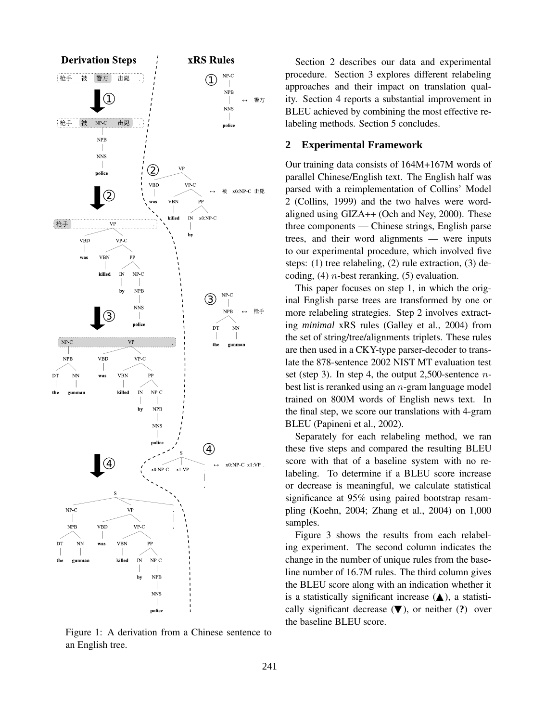

Figure 1: A derivation from a Chinese sentence to an English tree.

Section 2 describes our data and experimental procedure. Section 3 explores different relabeling approaches and their impact on translation quality. Section 4 reports a substantial improvement in BLEU achieved by combining the most effective relabeling methods. Section 5 concludes.

# **2 Experimental Framework**

Our training data consists of 164M+167M words of parallel Chinese/English text. The English half was parsed with a reimplementation of Collins' Model 2 (Collins, 1999) and the two halves were wordaligned using GIZA++ (Och and Ney, 2000). These three components — Chinese strings, English parse trees, and their word alignments — were inputs to our experimental procedure, which involved five steps: (1) tree relabeling, (2) rule extraction, (3) decoding,  $(4)$  *n*-best reranking,  $(5)$  evaluation.

This paper focuses on step 1, in which the original English parse trees are transformed by one or more relabeling strategies. Step 2 involves extracting *minimal* xRS rules (Galley et al., 2004) from the set of string/tree/alignments triplets. These rules are then used in a CKY-type parser-decoder to translate the 878-sentence 2002 NIST MT evaluation test set (step 3). In step 4, the output 2,500-sentence  $n$ best list is reranked using an n-gram language model trained on 800M words of English news text. In the final step, we score our translations with 4-gram BLEU (Papineni et al., 2002).

Separately for each relabeling method, we ran these five steps and compared the resulting BLEU score with that of a baseline system with no relabeling. To determine if a BLEU score increase or decrease is meaningful, we calculate statistical significance at 95% using paired bootstrap resampling (Koehn, 2004; Zhang et al., 2004) on 1,000 samples.

Figure 3 shows the results from each relabeling experiment. The second column indicates the change in the number of unique rules from the baseline number of 16.7M rules. The third column gives the BLEU score along with an indication whether it is a statistically significant increase  $($   $\blacktriangle)$ , a statistically significant decrease (▼), or neither (**?**) over the baseline BLEU score.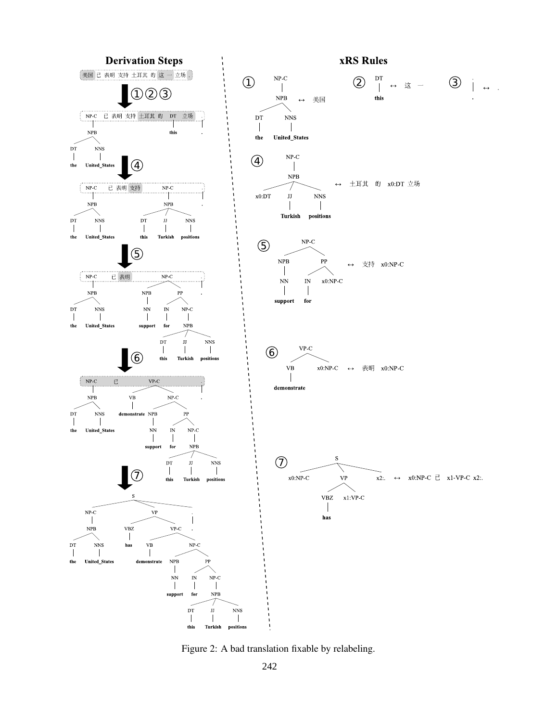

Figure 2: A bad translation fixable by relabeling.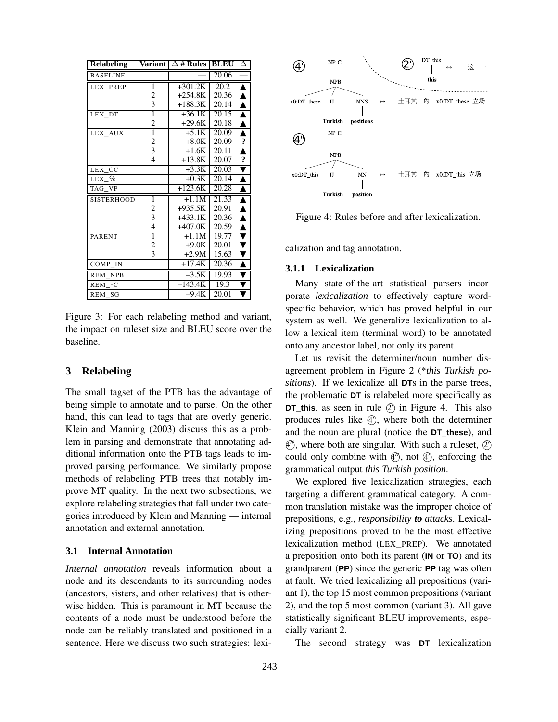| <b>Relabeling</b> |                | Variant $ \Delta$ # Rules | <b>BLEU</b> | Δ                   |
|-------------------|----------------|---------------------------|-------------|---------------------|
| <b>BASELINE</b>   |                |                           | 20.06       |                     |
| <b>LEX PREP</b>   | 1              | $+301.2K$                 | 20.2        | ▲                   |
|                   | 2              | $+254.8K$                 | 20.36       | ▲                   |
|                   | 3              | $+188.3K$                 | 20.14       | ▲                   |
| LEX_DT            | $\overline{1}$ | $+36.1K$                  | 20.15       | $\blacktriangle$    |
|                   | $\overline{c}$ | $+29.6K$                  | 20.18       | ▲                   |
| LEX_AUX           | ī              | $+5.1K$                   | 20.09       | $\blacktriangle$    |
|                   | 2              | $+8.0K$                   | 20.09       | $\ddot{\textbf{.}}$ |
|                   | 3              | $+1.6K$                   | 20.11       | Δ                   |
|                   | $\overline{4}$ | $+13.8K$                  | 20.07       | $\ddot{\bm{c}}$     |
| LEX CC            |                | $+3.3K$                   | 20.03       |                     |
| $LEX_{\omega}$    |                | $+0.3K$                   | 20.14       | ▲                   |
| TAG VP            |                | $+123.6K$                 | 20.28       | $\blacktriangle$    |
| <b>SISTERHOOD</b> | 1              | $+1.\overline{1M}$        | 21.33       | $\blacktriangle$    |
|                   | 2              | $+935.5K$                 | 20.91       | ▲                   |
|                   | 3              | $+433.1K$                 | 20.36       | $\blacktriangle$    |
|                   | 4              | $+407.0K$                 | 20.59       | ▲                   |
| <b>PARENT</b>     | $\overline{1}$ | $+1.1M$                   | 19.77       |                     |
|                   | $\overline{c}$ | $+9.0K$                   | 20.01       |                     |
|                   | 3              | $+2.9M$                   | 15.63       |                     |
| COMP IN           |                | $+17.4K$                  | 20.36       |                     |
| <b>REM NPB</b>    |                | $-3.5K$                   | 19.93       |                     |
| REM -C            |                | $-143.4K$                 | 19.3        |                     |
| REM SG            |                | $-9.4K$                   | 20.01       |                     |

Figure 3: For each relabeling method and variant, the impact on ruleset size and BLEU score over the baseline.

# **3 Relabeling**

The small tagset of the PTB has the advantage of being simple to annotate and to parse. On the other hand, this can lead to tags that are overly generic. Klein and Manning (2003) discuss this as a problem in parsing and demonstrate that annotating additional information onto the PTB tags leads to improved parsing performance. We similarly propose methods of relabeling PTB trees that notably improve MT quality. In the next two subsections, we explore relabeling strategies that fall under two categories introduced by Klein and Manning — internal annotation and external annotation.

#### **3.1 Internal Annotation**

*Internal annotation* reveals information about a node and its descendants to its surrounding nodes (ancestors, sisters, and other relatives) that is otherwise hidden. This is paramount in MT because the contents of a node must be understood before the node can be reliably translated and positioned in a sentence. Here we discuss two such strategies: lexi-



Figure 4: Rules before and after lexicalization.

calization and tag annotation.

#### **3.1.1 Lexicalization**

Many state-of-the-art statistical parsers incorporate *lexicalization* to effectively capture wordspecific behavior, which has proved helpful in our system as well. We generalize lexicalization to allow a lexical item (terminal word) to be annotated onto any ancestor label, not only its parent.

Let us revisit the determiner/noun number disagreement problem in Figure 2 (\**this Turkish positions*). If we lexicalize all **DT**s in the parse trees, the problematic **DT** is relabeled more specifically as **DT\_this**, as seen in rule  $\oslash$  in Figure 4. This also produces rules like  $\textcircled{4}$ , where both the determiner and the noun are plural (notice the **DT\_these**), and 4 00 , where both are singular. With such a ruleset, 2 <sup>0</sup> could only combine with  $\mathbb{C}^n$ , not  $\mathbb{C}^n$ , enforcing the grammatical output *this Turkish position*.

We explored five lexicalization strategies, each targeting a different grammatical category. A common translation mistake was the improper choice of prepositions, e.g., *responsibility to attacks*. Lexicalizing prepositions proved to be the most effective lexicalization method (LEX\_PREP). We annotated a preposition onto both its parent (**IN** or **TO**) and its grandparent (**PP**) since the generic **PP** tag was often at fault. We tried lexicalizing all prepositions (variant 1), the top 15 most common prepositions (variant 2), and the top 5 most common (variant 3). All gave statistically significant BLEU improvements, especially variant 2.

The second strategy was **DT** lexicalization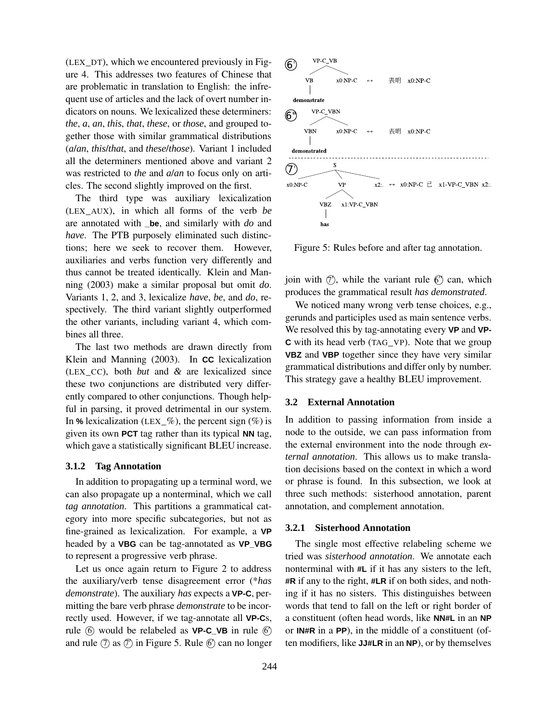(LEX\_DT), which we encountered previously in Figure 4. This addresses two features of Chinese that are problematic in translation to English: the infrequent use of articles and the lack of overt number indicators on nouns. We lexicalized these determiners: *the*, *a*, *an*, *this*, *that*, *these*, or *those*, and grouped together those with similar grammatical distributions (*a*/*an*, *this*/*that*, and *these*/*those*). Variant 1 included all the determiners mentioned above and variant 2 was restricted to *the* and *a*/*an* to focus only on articles. The second slightly improved on the first.

The third type was auxiliary lexicalization (LEX\_AUX), in which all forms of the verb *be* are annotated with **\_be**, and similarly with *do* and *have*. The PTB purposely eliminated such distinctions; here we seek to recover them. However, auxiliaries and verbs function very differently and thus cannot be treated identically. Klein and Manning (2003) make a similar proposal but omit *do*. Variants 1, 2, and 3, lexicalize *have*, *be*, and *do*, respectively. The third variant slightly outperformed the other variants, including variant 4, which combines all three.

The last two methods are drawn directly from Klein and Manning (2003). In **CC** lexicalization (LEX\_CC), both *but* and *&* are lexicalized since these two conjunctions are distributed very differently compared to other conjunctions. Though helpful in parsing, it proved detrimental in our system. In  $%$  lexicalization (LEX<sub>\_</sub>%), the percent sign (%) is given its own **PCT** tag rather than its typical **NN** tag, which gave a statistically significant BLEU increase.

#### **3.1.2 Tag Annotation**

In addition to propagating up a terminal word, we can also propagate up a nonterminal, which we call *tag annotation*. This partitions a grammatical category into more specific subcategories, but not as fine-grained as lexicalization. For example, a **VP** headed by a **VBG** can be tag-annotated as **VP\_VBG** to represent a progressive verb phrase.

Let us once again return to Figure 2 to address the auxiliary/verb tense disagreement error (\**has demonstrate*). The auxiliary *has* expects a **VP-C**, permitting the bare verb phrase *demonstrate* to be incorrectly used. However, if we tag-annotate all **VP-C**s, rule  $\circled{6}$  would be relabeled as **VP-C\_VB** in rule  $\circled{6}$ and rule  $\circled{T}$  as  $\circled{T}$  in Figure 5. Rule  $\circled{}$  can no longer



Figure 5: Rules before and after tag annotation.

join with  $\mathcal{O}$ , while the variant rule  $\mathcal{O}'$  can, which produces the grammatical result *has demonstrated*.

We noticed many wrong verb tense choices, e.g., gerunds and participles used as main sentence verbs. We resolved this by tag-annotating every **VP** and **VP-C** with its head verb (TAG\_VP). Note that we group **VBZ** and **VBP** together since they have very similar grammatical distributions and differ only by number. This strategy gave a healthy BLEU improvement.

## **3.2 External Annotation**

In addition to passing information from inside a node to the outside, we can pass information from the external environment into the node through *external annotation*. This allows us to make translation decisions based on the context in which a word or phrase is found. In this subsection, we look at three such methods: sisterhood annotation, parent annotation, and complement annotation.

## **3.2.1 Sisterhood Annotation**

The single most effective relabeling scheme we tried was *sisterhood annotation*. We annotate each nonterminal with **#L** if it has any sisters to the left, **#R** if any to the right, **#LR** if on both sides, and nothing if it has no sisters. This distinguishes between words that tend to fall on the left or right border of a constituent (often head words, like **NN#L** in an **NP** or **IN#R** in a **PP**), in the middle of a constituent (often modifiers, like **JJ#LR** in an **NP**), or by themselves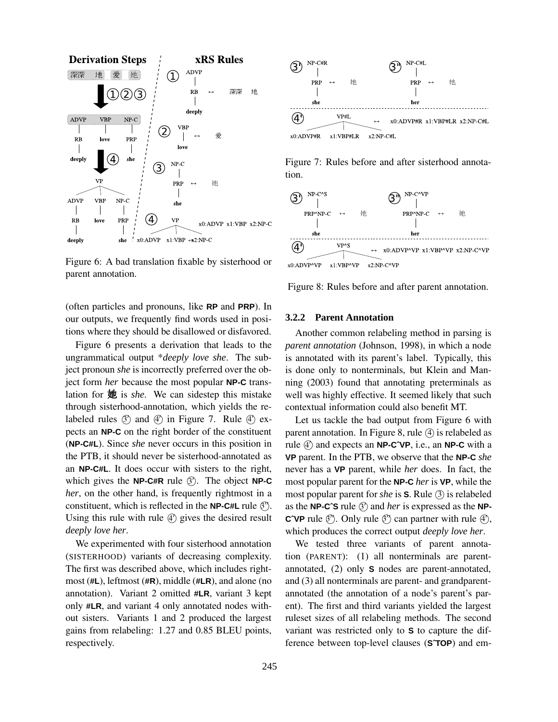

Figure 6: A bad translation fixable by sisterhood or parent annotation.

(often particles and pronouns, like **RP** and **PRP**). In our outputs, we frequently find words used in positions where they should be disallowed or disfavored.

Figure 6 presents a derivation that leads to the ungrammatical output \**deeply love she*. The subject pronoun *she* is incorrectly preferred over the object form *her* because the most popular **NP-C** translation for 她 is *she*. We can sidestep this mistake through sisterhood-annotation, which yields the relabeled rules  $\circled{S}$  and  $\circled{4}$  in Figure 7. Rule  $\circled{4}$  expects an **NP-C** on the right border of the constituent (**NP-C#L**). Since *she* never occurs in this position in the PTB, it should never be sisterhood-annotated as an **NP-C#L**. It does occur with sisters to the right, which gives the **NP-C#R** rule  $\circled{?}$ . The object **NP-C** *her*, on the other hand, is frequently rightmost in a constituent, which is reflected in the **NP-C#L** rule  $\mathcal{C}'$ . Using this rule with rule  $\textcircled{4}$  gives the desired result *deeply love her*.

We experimented with four sisterhood annotation (SISTERHOOD) variants of decreasing complexity. The first was described above, which includes rightmost (**#L**), leftmost (**#R**), middle (**#LR**), and alone (no annotation). Variant 2 omitted **#LR**, variant 3 kept only **#LR**, and variant 4 only annotated nodes without sisters. Variants 1 and 2 produced the largest gains from relabeling: 1.27 and 0.85 BLEU points, respectively.



Figure 7: Rules before and after sisterhood annotation.



Figure 8: Rules before and after parent annotation.

## **3.2.2 Parent Annotation**

Another common relabeling method in parsing is *parent annotation* (Johnson, 1998), in which a node is annotated with its parent's label. Typically, this is done only to nonterminals, but Klein and Manning (2003) found that annotating preterminals as well was highly effective. It seemed likely that such contextual information could also benefit MT.

Let us tackle the bad output from Figure 6 with parent annotation. In Figure 8, rule  $(4)$  is relabeled as rule  $\textcircled{4}$  and expects an **NP-C<sup>^</sup>VP**, i.e., an **NP-C** with a **VP** parent. In the PTB, we observe that the **NP-C** *she* never has a **VP** parent, while *her* does. In fact, the most popular parent for the **NP-C** *her* is **VP**, while the most popular parent for *she* is **S**. Rule 3 is relabeled as the **NP-C<sup>o</sup>S** rule  $\textcircled{3}$  and *her* is expressed as the **NP-C°VP** rule  $\mathcal{O}'$ . Only rule  $\mathcal{O}'$  can partner with rule  $\mathcal{O}'$ , which produces the correct output *deeply love her*.

We tested three variants of parent annotation (PARENT): (1) all nonterminals are parentannotated, (2) only **S** nodes are parent-annotated, and (3) all nonterminals are parent- and grandparentannotated (the annotation of a node's parent's parent). The first and third variants yielded the largest ruleset sizes of all relabeling methods. The second variant was restricted only to **S** to capture the difference between top-level clauses (**SˆTOP**) and em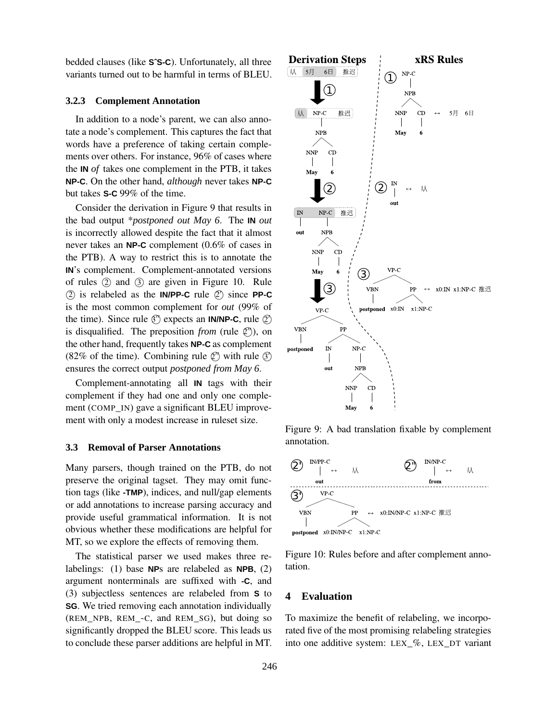bedded clauses (like **SˆS-C**). Unfortunately, all three variants turned out to be harmful in terms of BLEU.

## **3.2.3 Complement Annotation**

In addition to a node's parent, we can also annotate a node's complement. This captures the fact that words have a preference of taking certain complements over others. For instance, 96% of cases where the **IN** *of* takes one complement in the PTB, it takes **NP-C**. On the other hand, *although* never takes **NP-C** but takes **S-C** 99% of the time.

Consider the derivation in Figure 9 that results in the bad output \**postponed out May 6*. The **IN** *out* is incorrectly allowed despite the fact that it almost never takes an **NP-C** complement (0.6% of cases in the PTB). A way to restrict this is to annotate the **IN**'s complement. Complement-annotated versions of rules  $(2)$  and  $(3)$  are given in Figure 10. Rule 2 is relabeled as the **IN/PP-C** rule 2 <sup>0</sup> since **PP-C** is the most common complement for *out* (99% of the time). Since rule  $\mathcal{O}'$  expects an **IN/NP-C**, rule  $\mathcal{O}'$ is disqualified. The preposition *from* (rule  $\mathcal{Q}^{\gamma}$ ), on the other hand, frequently takes **NP-C** as complement (82% of the time). Combining rule  $\mathcal{Q}^{\gamma}$  with rule  $\mathcal{Q}$ ) ensures the correct output *postponed from May 6*.

Complement-annotating all **IN** tags with their complement if they had one and only one complement (COMP\_IN) gave a significant BLEU improvement with only a modest increase in ruleset size.

#### **3.3 Removal of Parser Annotations**

Many parsers, though trained on the PTB, do not preserve the original tagset. They may omit function tags (like **-TMP**), indices, and null/gap elements or add annotations to increase parsing accuracy and provide useful grammatical information. It is not obvious whether these modifications are helpful for MT, so we explore the effects of removing them.

The statistical parser we used makes three relabelings: (1) base **NP**s are relabeled as **NPB**, (2) argument nonterminals are suffixed with **-C**, and (3) subjectless sentences are relabeled from **S** to **SG**. We tried removing each annotation individually (REM\_NPB, REM\_-C, and REM\_SG), but doing so significantly dropped the BLEU score. This leads us to conclude these parser additions are helpful in MT.

![](_page_6_Figure_8.jpeg)

Figure 9: A bad translation fixable by complement annotation.

![](_page_6_Figure_10.jpeg)

Figure 10: Rules before and after complement annotation.

# **4 Evaluation**

To maximize the benefit of relabeling, we incorporated five of the most promising relabeling strategies into one additive system: LEX\_%, LEX\_DT variant